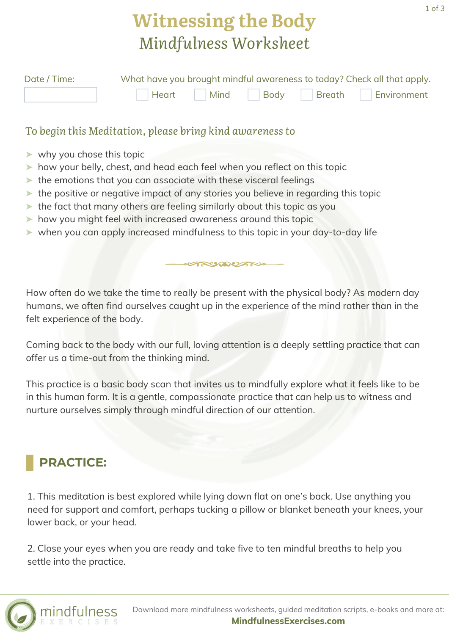# **Witnessing the Body** *Mindfulness Worksheet*

| Date / Time: | What have you brought mindful awareness to today? Check all that apply. |  |  |  |                                    |
|--------------|-------------------------------------------------------------------------|--|--|--|------------------------------------|
|              |                                                                         |  |  |  | Heart Mind Body Breath Environment |

#### *To begin this Meditation, please bring kind awareness to*

- ➤ why you chose this topic
- ➤ how your belly, chest, and head each feel when you reflect on this topic
- ➤ the emotions that you can associate with these visceral feelings
- ➤ the positive or negative impact of any stories you believe in regarding this topic
- ➤ the fact that many others are feeling similarly about this topic as you
- ➤ how you might feel with increased awareness around this topic
- ➤ when you can apply increased mindfulness to this topic in your day-to-day life

How often do we take the time to really be present with the physical body? As modern day humans, we often find ourselves caught up in the experience of the mind rather than in the felt experience of the body.

ANAUTH

Coming back to the body with our full, loving attention is a deeply settling practice that can offer us a time-out from the thinking mind.

This practice is a basic body scan that invites us to mindfully explore what it feels like to be in this human form. It is a gentle, compassionate practice that can help us to witness and nurture ourselves simply through mindful direction of our attention.

### **PRACTICE:**

1. This meditation is best explored while lying down flat on one's back. Use anything you need for support and comfort, perhaps tucking a pillow or blanket beneath your knees, your lower back, or your head.

2. Close your eyes when you are ready and take five to ten mindful breaths to help you settle into the practice.

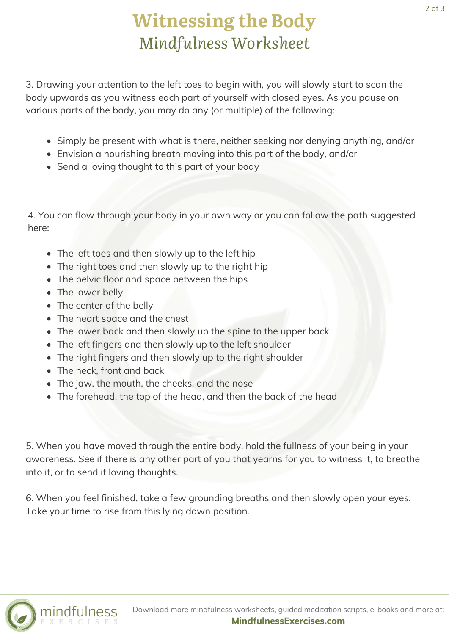3. Drawing your attention to the left toes to begin with, you will slowly start to scan the body upwards as you witness each part of yourself with closed eyes. As you pause on various parts of the body, you may do any (or multiple) of the following:

- Simply be present with what is there, neither seeking nor denying anything, and/or
- Envision a nourishing breath moving into this part of the body, and/or
- Send a loving thought to this part of your body

4. You can flow through your body in your own way or you can follow the path suggested here:

- The left toes and then slowly up to the left hip
- The right toes and then slowly up to the right hip
- The pelvic floor and space between the hips
- The lower belly
- The center of the belly
- The heart space and the chest
- The lower back and then slowly up the spine to the upper back
- The left fingers and then slowly up to the left shoulder
- The right fingers and then slowly up to the right shoulder
- The neck, front and back
- The jaw, the mouth, the cheeks, and the nose
- The forehead, the top of the head, and then the back of the head

5. When you have moved through the entire body, hold the fullness of your being in your awareness. See if there is any other part of you that yearns for you to witness it, to breathe into it, or to send it loving thoughts.

6. When you feel finished, take a few grounding breaths and then slowly open your eyes. Take your time to rise from this lying down position.